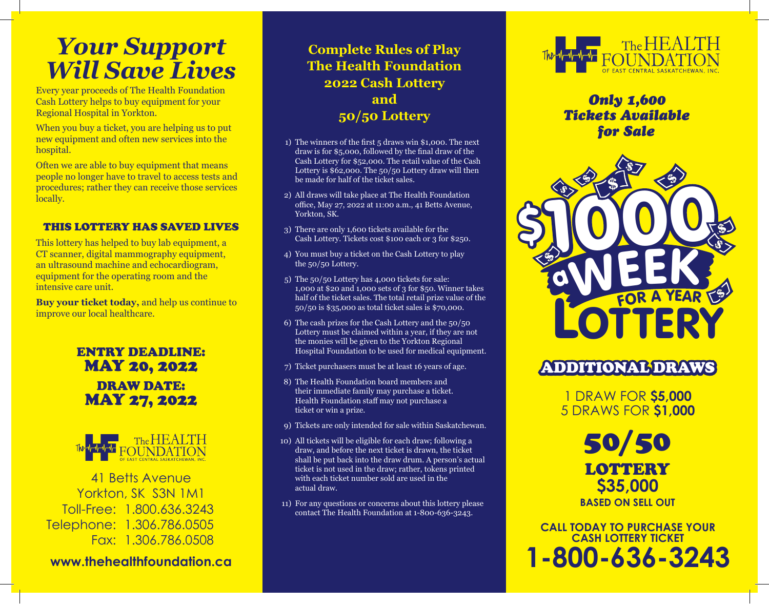# *Your Support Will Save Lives*

Every year proceeds of The Health Foundation Cash Lottery helps to buy equipment for your Regional Hospital in Yorkton.

When you buy a ticket, you are helping us to put new equipment and often new services into the hospital.

Often we are able to buy equipment that means people no longer have to travel to access tests and procedures; rather they can receive those services locally.

#### THIS LOTTERY HAS SAVED LIVES

This lottery has helped to buy lab equipment, a CT scanner, digital mammography equipment, an ultrasound machine and echocardiogram, equipment for the operating room and the intensive care unit.

**Buy your ticket today,** and help us continue to improve our local healthcare.

### ENTRY DEADLINE: MAY 20, 2022 DRAW DATE: MAY 27, 2022



41 Betts Avenue Yorkton, SK S3N 1M1 Toll-Free: 1.800.636.3243 Telephone: 1.306.786.0505 Fax: 1.306.786.0508

**www.thehealthfoundation.ca**

### **Complete Rules of Play The Health Foundation 2022 Cash Lottery and 50/50 Lottery**

- 1) The winners of the first 5 draws win \$1,000. The next draw is for \$5,000, followed by the final draw of the Cash Lottery for \$52,000. The retail value of the Cash Lottery is \$62,000. The 50/50 Lottery draw will then be made for half of the ticket sales.
- 2) All draws will take place at The Health Foundation office, May 27, 2022 at 11:00 a.m., 41 Betts Avenue, Yorkton, SK.
- 3) There are only 1,600 tickets available for the Cash Lottery. Tickets cost \$100 each or 3 for \$250.
- 4) You must buy a ticket on the Cash Lottery to play the 50/50 Lottery.
- 5) The 50/50 Lottery has 4,000 tickets for sale: 1,000 at \$20 and 1,000 sets of 3 for \$50. Winner takes half of the ticket sales. The total retail prize value of the 50/50 is \$35,000 as total ticket sales is \$70,000.
- 6) The cash prizes for the Cash Lottery and the 50/50 Lottery must be claimed within a year, if they are not the monies will be given to the Yorkton Regional Hospital Foundation to be used for medical equipment.
- 7) Ticket purchasers must be at least 16 years of age.
- 8) The Health Foundation board members and their immediate family may purchase a ticket. Health Foundation staff may not purchase a ticket or win a prize.
- 9) Tickets are only intended for sale within Saskatchewan.
- 10) All tickets will be eligible for each draw; following a draw, and before the next ticket is drawn, the ticket shall be put back into the draw drum. A person's actual ticket is not used in the draw; rather, tokens printed with each ticket number sold are used in the actual draw.
- 11) For any questions or concerns about this lottery please contact The Health Foundation at 1-800-636-3243.



*Only 1,600 Tickets Available for Sale*



## ADDITIONAL DRAWS

1 DRAW FOR **\$5,000** 5 DRAWS FOR **\$1,000**

> 50/50 **LOTTERY \$35,000 BASED ON SELL OUT**

**CALL TODAY TO PURCHASE YOUR CASH LOTTERY TICKET 1-800-636-3243**